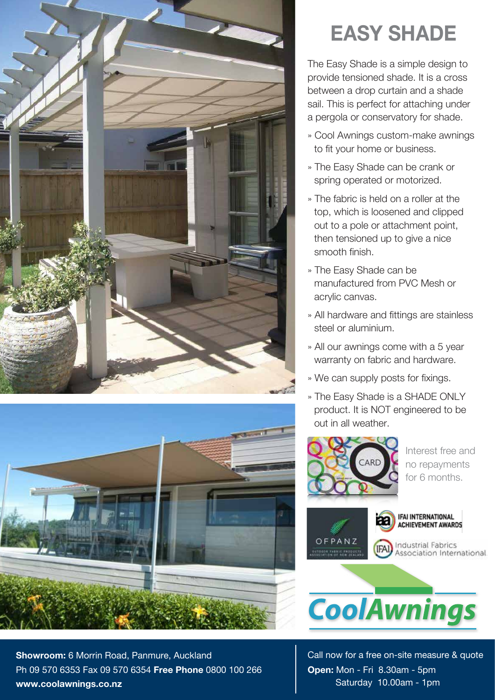



**Showroom:** 6 Morrin Road, Panmure, Auckland Ph 09 570 6353 Fax 09 570 6354 **Free Phone** 0800 100 266 **www.coolawnings.co.nz**

## **EASY SHADE**

The Easy Shade is a simple design to provide tensioned shade. It is a cross between a drop curtain and a shade sail. This is perfect for attaching under a pergola or conservatory for shade.

- » Cool Awnings custom-make awnings to fit your home or business.
- » The Easy Shade can be crank or spring operated or motorized.
- » The fabric is held on a roller at the top, which is loosened and clipped out to a pole or attachment point, then tensioned up to give a nice smooth finish.
- » The Easy Shade can be manufactured from PVC Mesh or acrylic canvas.
- » All hardware and fittings are stainless steel or aluminium.
- » All our awnings come with a 5 year warranty on fabric and hardware.
- » We can supply posts for fixings.
- » The Easy Shade is a SHADE ONLY product. It is NOT engineered to be out in all weather.



Interest free and no repayments for 6 months.



IFAI INTERNATIONAL<br>Achievement Awards

**Industrial Fabrics** Association International.



Call now for a free on-site measure & quote **Open:** Mon - Fri 8.30am - 5pm Saturday 10.00am - 1pm